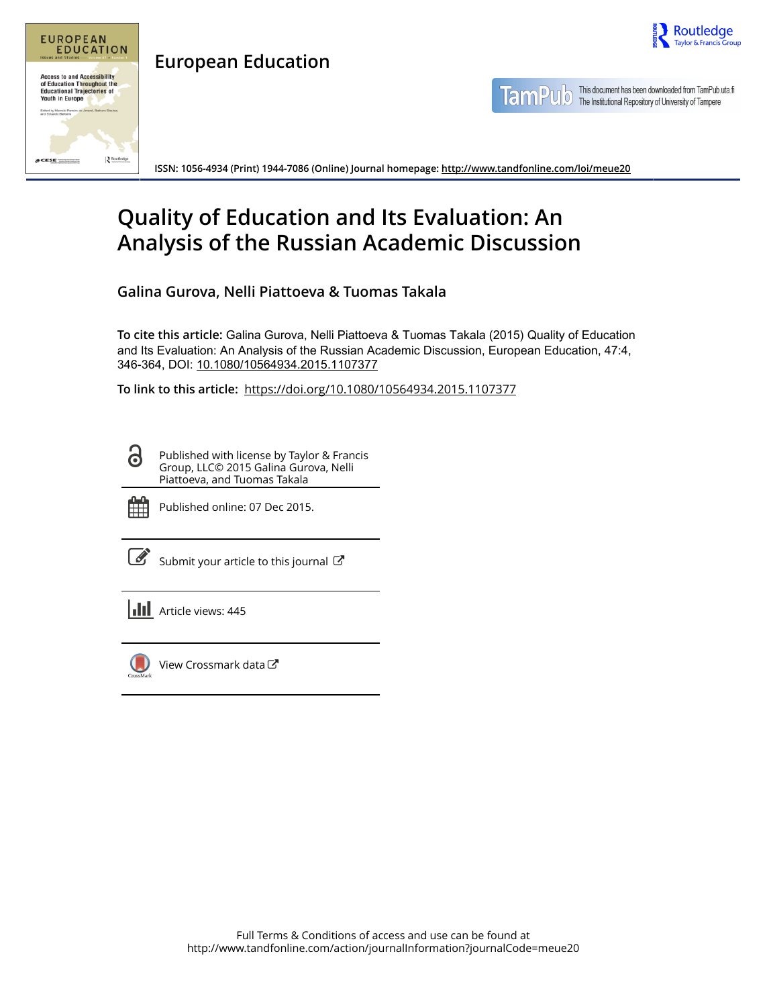

**European Education**



TamPUD This document has been downloaded from TamPub.<br>The Institutional Repository of University of Tampere This document has been downloaded from TamPub.uta.fi

**ISSN: 1056-4934 (Print) 1944-7086 (Online) Journal homepage:<http://www.tandfonline.com/loi/meue20>**

# **Quality of Education and Its Evaluation: An Analysis of the Russian Academic Discussion**

**Galina Gurova, Nelli Piattoeva & Tuomas Takala**

**To cite this article:** Galina Gurova, Nelli Piattoeva & Tuomas Takala (2015) Quality of Education and Its Evaluation: An Analysis of the Russian Academic Discussion, European Education, 47:4, 346-364, DOI: [10.1080/10564934.2015.1107377](http://www.tandfonline.com/action/showCitFormats?doi=10.1080/10564934.2015.1107377)

**To link to this article:** <https://doi.org/10.1080/10564934.2015.1107377>

Published with license by Taylor & Francis Group, LLC© 2015 Galina Gurova, Nelli Piattoeva, and Tuomas Takala



႕

Published online: 07 Dec 2015.

[Submit your article to this journal](http://www.tandfonline.com/action/authorSubmission?journalCode=meue20&show=instructions)  $\mathbb{Z}$ 

**III** Article views: 445



[View Crossmark data](http://crossmark.crossref.org/dialog/?doi=10.1080/10564934.2015.1107377&domain=pdf&date_stamp=2015-12-07)<sup>C</sup>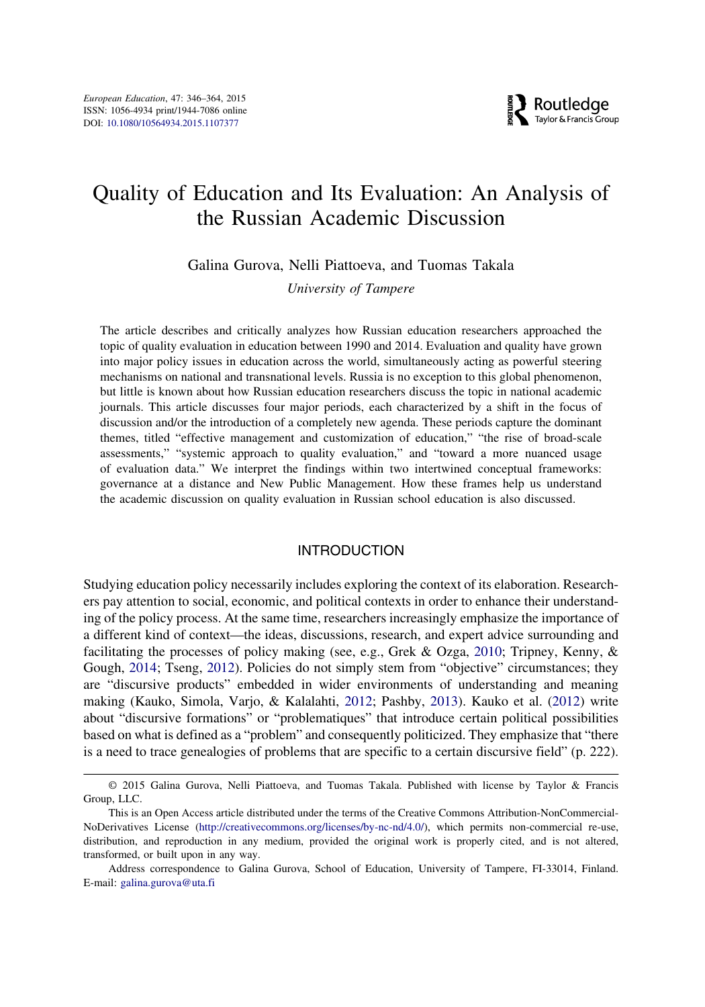

# Quality of Education and Its Evaluation: An Analysis of the Russian Academic Discussion

Galina Gurova, Nelli Piattoeva, and Tuomas Takala *University of Tampere* 

The article describes and critically analyzes how Russian education researchers approached the topic of quality evaluation in education between 1990 and 2014. Evaluation and quality have grown into major policy issues in education across the world, simultaneously acting as powerful steering mechanisms on national and transnational levels. Russia is no exception to this global phenomenon, but little is known about how Russian education researchers discuss the topic in national academic journals. This article discusses four major periods, each characterized by a shift in the focus of discussion and/or the introduction of a completely new agenda. These periods capture the dominant themes, titled "effective management and customization of education," "the rise of broad-scale assessments," "systemic approach to quality evaluation," and "toward a more nuanced usage of evaluation data." We interpret the findings within two intertwined conceptual frameworks: governance at a distance and New Public Management. How these frames help us understand the academic discussion on quality evaluation in Russian school education is also discussed.

# INTRODUCTION

Studying education policy necessarily includes exploring the context of its elaboration. Researchers pay attention to social, economic, and political contexts in order to enhance their understanding of the policy process. At the same time, researchers increasingly emphasize the importance of a different kind of context—the ideas, discussions, research, and expert advice surrounding and facilitating the processes of policy making (see, e.g., Grek & Ozga, [2010;](#page-17-0) Tripney, Kenny, & Gough, [2014](#page-19-0); Tseng, [2012\)](#page-19-0). Policies do not simply stem from "objective" circumstances; they are "discursive products" embedded in wider environments of understanding and meaning making (Kauko, Simola, Varjo, & Kalalahti, [2012](#page-17-0); Pashby, [2013](#page-18-0)). Kauko et al. ([2012\)](#page-17-0) write about "discursive formations" or "problematiques" that introduce certain political possibilities based on what is defined as a "problem" and consequently politicized. They emphasize that "there is a need to trace genealogies of problems that are specific to a certain discursive field" (p. 222).

<sup>© 2015</sup> Galina Gurova, Nelli Piattoeva, and Tuomas Takala. Published with license by Taylor & Francis Group, LLC.

This is an Open Access article distributed under the terms of the Creative Commons Attribution-NonCommercial-NoDerivatives License [\(http://creativecommons.org/licenses/by-nc-nd/4.0/](http://creativecommons.org/licenses/by-nc-nd/4.0/)), which permits non-commercial re-use, distribution, and reproduction in any medium, provided the original work is properly cited, and is not altered, transformed, or built upon in any way.

Address correspondence to Galina Gurova, School of Education, University of Tampere, FI-33014, Finland. E-mail: [galina.gurova@uta.fi](mailto:galina.gurova@uta.fi)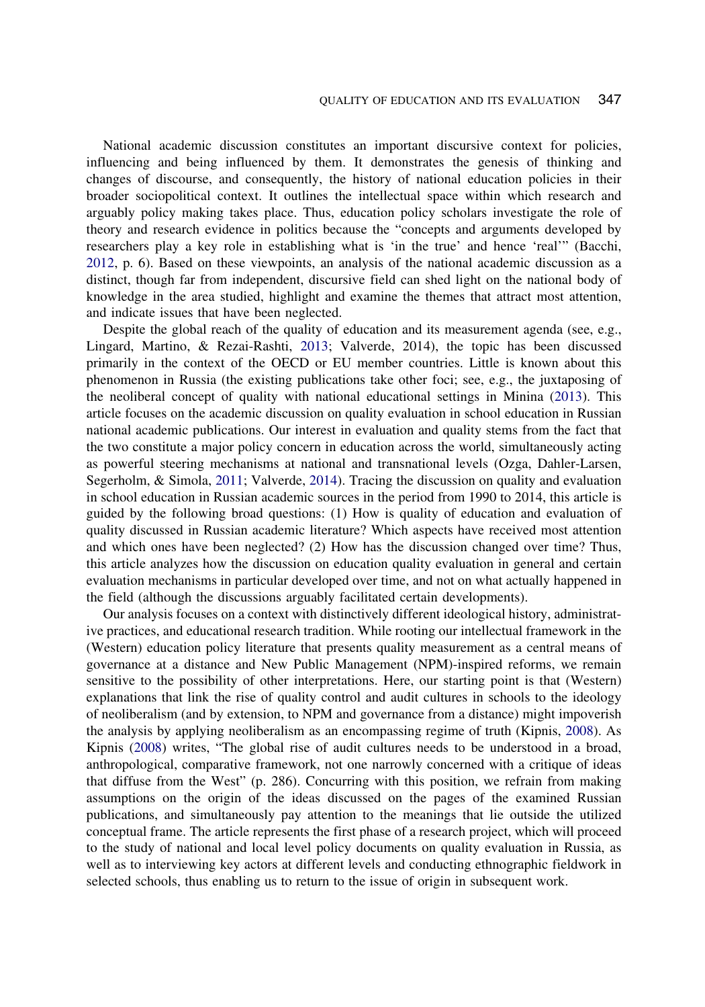National academic discussion constitutes an important discursive context for policies, influencing and being influenced by them. It demonstrates the genesis of thinking and changes of discourse, and consequently, the history of national education policies in their broader sociopolitical context. It outlines the intellectual space within which research and arguably policy making takes place. Thus, education policy scholars investigate the role of theory and research evidence in politics because the "concepts and arguments developed by researchers play a key role in establishing what is 'in the true' and hence 'real'" (Bacchi, [2012,](#page-16-0) p. 6). Based on these viewpoints, an analysis of the national academic discussion as a distinct, though far from independent, discursive field can shed light on the national body of knowledge in the area studied, highlight and examine the themes that attract most attention, and indicate issues that have been neglected.

Despite the global reach of the quality of education and its measurement agenda (see, e.g., Lingard, Martino, & Rezai-Rashti, [2013;](#page-18-0) Valverde, 2014), the topic has been discussed primarily in the context of the OECD or EU member countries. Little is known about this phenomenon in Russia (the existing publications take other foci; see, e.g., the juxtaposing of the neoliberal concept of quality with national educational settings in Minina [\(2013](#page-18-0)). This article focuses on the academic discussion on quality evaluation in school education in Russian national academic publications. Our interest in evaluation and quality stems from the fact that the two constitute a major policy concern in education across the world, simultaneously acting as powerful steering mechanisms at national and transnational levels (Ozga, Dahler-Larsen, Segerholm, & Simola, [2011](#page-18-0); Valverde, [2014](#page-18-0)). Tracing the discussion on quality and evaluation in school education in Russian academic sources in the period from 1990 to 2014, this article is guided by the following broad questions: (1) How is quality of education and evaluation of quality discussed in Russian academic literature? Which aspects have received most attention and which ones have been neglected? (2) How has the discussion changed over time? Thus, this article analyzes how the discussion on education quality evaluation in general and certain evaluation mechanisms in particular developed over time, and not on what actually happened in the field (although the discussions arguably facilitated certain developments).

Our analysis focuses on a context with distinctively different ideological history, administrative practices, and educational research tradition. While rooting our intellectual framework in the (Western) education policy literature that presents quality measurement as a central means of governance at a distance and New Public Management (NPM)-inspired reforms, we remain sensitive to the possibility of other interpretations. Here, our starting point is that (Western) explanations that link the rise of quality control and audit cultures in schools to the ideology of neoliberalism (and by extension, to NPM and governance from a distance) might impoverish the analysis by applying neoliberalism as an encompassing regime of truth (Kipnis, [2008](#page-17-0)). As Kipnis ([2008\)](#page-17-0) writes, "The global rise of audit cultures needs to be understood in a broad, anthropological, comparative framework, not one narrowly concerned with a critique of ideas that diffuse from the West" (p. 286). Concurring with this position, we refrain from making assumptions on the origin of the ideas discussed on the pages of the examined Russian publications, and simultaneously pay attention to the meanings that lie outside the utilized conceptual frame. The article represents the first phase of a research project, which will proceed to the study of national and local level policy documents on quality evaluation in Russia, as well as to interviewing key actors at different levels and conducting ethnographic fieldwork in selected schools, thus enabling us to return to the issue of origin in subsequent work.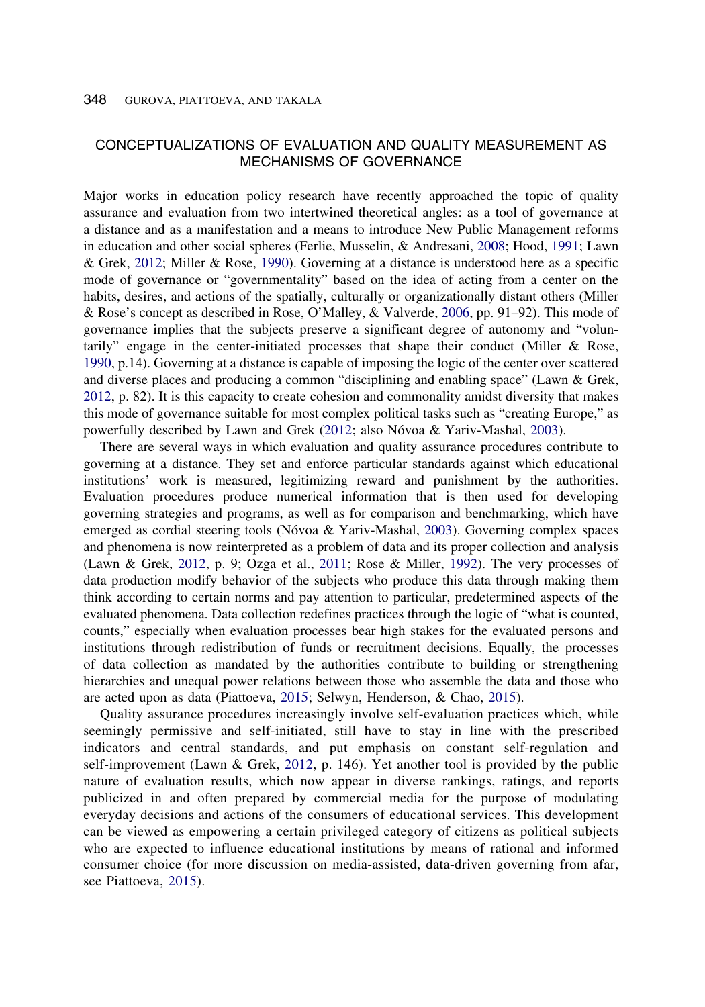# CONCEPTUALIZATIONS OF EVALUATION AND QUALITY MEASUREMENT AS MECHANISMS OF GOVERNANCE

Major works in education policy research have recently approached the topic of quality assurance and evaluation from two intertwined theoretical angles: as a tool of governance at a distance and as a manifestation and a means to introduce New Public Management reforms in education and other social spheres (Ferlie, Musselin, & Andresani, [2008](#page-17-0); Hood, [1991;](#page-17-0) Lawn & Grek, [2012](#page-18-0); Miller & Rose, [1990](#page-18-0)). Governing at a distance is understood here as a specific mode of governance or "governmentality" based on the idea of acting from a center on the habits, desires, and actions of the spatially, culturally or organizationally distant others (Miller & Rose's concept as described in Rose, O'Malley, & Valverde, [2006,](#page-19-0) pp. 91–92). This mode of governance implies that the subjects preserve a significant degree of autonomy and "voluntarily" engage in the center-initiated processes that shape their conduct (Miller & Rose, [1990,](#page-18-0) p.14). Governing at a distance is capable of imposing the logic of the center over scattered and diverse places and producing a common "disciplining and enabling space" (Lawn & Grek, [2012,](#page-18-0) p. 82). It is this capacity to create cohesion and commonality amidst diversity that makes this mode of governance suitable for most complex political tasks such as "creating Europe," as powerfully described by Lawn and Grek ([2012;](#page-18-0) also Nóvoa & Yariv-Mashal, [2003](#page-18-0)).

There are several ways in which evaluation and quality assurance procedures contribute to governing at a distance. They set and enforce particular standards against which educational institutions' work is measured, legitimizing reward and punishment by the authorities. Evaluation procedures produce numerical information that is then used for developing governing strategies and programs, as well as for comparison and benchmarking, which have emerged as cordial steering tools (Nóvoa & Yariv-Mashal, [2003](#page-18-0)). Governing complex spaces and phenomena is now reinterpreted as a problem of data and its proper collection and analysis (Lawn & Grek, [2012](#page-18-0), p. 9; Ozga et al., [2011](#page-18-0); Rose & Miller, [1992](#page-19-0)). The very processes of data production modify behavior of the subjects who produce this data through making them think according to certain norms and pay attention to particular, predetermined aspects of the evaluated phenomena. Data collection redefines practices through the logic of "what is counted, counts," especially when evaluation processes bear high stakes for the evaluated persons and institutions through redistribution of funds or recruitment decisions. Equally, the processes of data collection as mandated by the authorities contribute to building or strengthening hierarchies and unequal power relations between those who assemble the data and those who are acted upon as data (Piattoeva, [2015](#page-18-0); Selwyn, Henderson, & Chao, [2015](#page-19-0)).

Quality assurance procedures increasingly involve self-evaluation practices which, while seemingly permissive and self-initiated, still have to stay in line with the prescribed indicators and central standards, and put emphasis on constant self-regulation and self-improvement (Lawn & Grek, [2012,](#page-18-0) p. 146). Yet another tool is provided by the public nature of evaluation results, which now appear in diverse rankings, ratings, and reports publicized in and often prepared by commercial media for the purpose of modulating everyday decisions and actions of the consumers of educational services. This development can be viewed as empowering a certain privileged category of citizens as political subjects who are expected to influence educational institutions by means of rational and informed consumer choice (for more discussion on media-assisted, data-driven governing from afar, see Piattoeva, [2015\)](#page-18-0).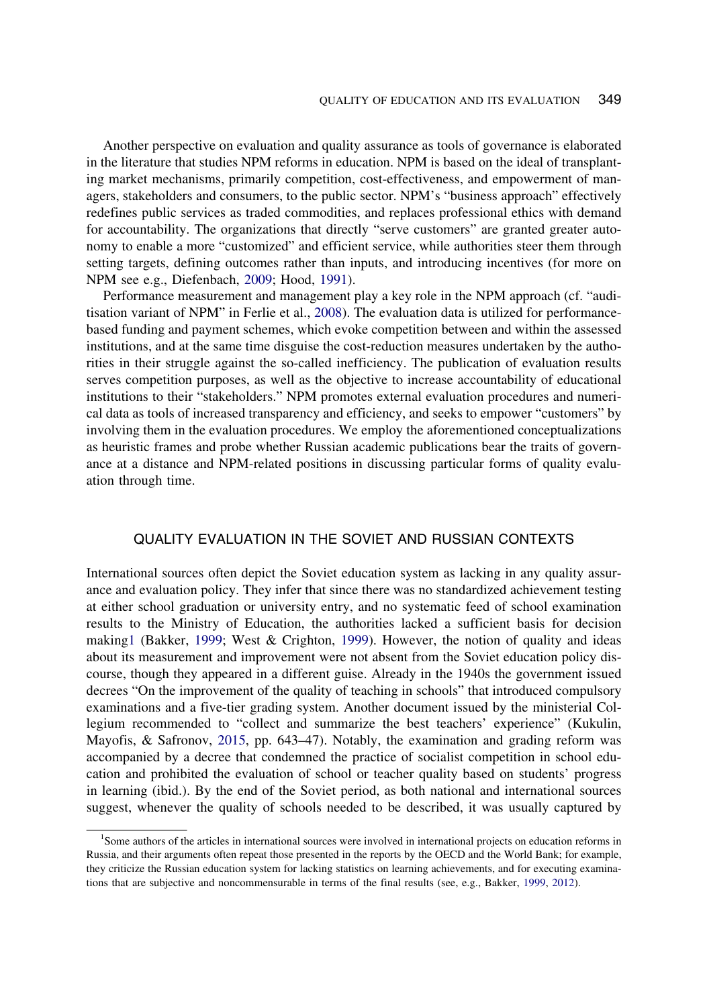Another perspective on evaluation and quality assurance as tools of governance is elaborated in the literature that studies NPM reforms in education. NPM is based on the ideal of transplanting market mechanisms, primarily competition, cost-effectiveness, and empowerment of managers, stakeholders and consumers, to the public sector. NPM's "business approach" effectively redefines public services as traded commodities, and replaces professional ethics with demand for accountability. The organizations that directly "serve customers" are granted greater autonomy to enable a more "customized" and efficient service, while authorities steer them through setting targets, defining outcomes rather than inputs, and introducing incentives (for more on NPM see e.g., Diefenbach, [2009;](#page-16-0) Hood, [1991\)](#page-17-0).

Performance measurement and management play a key role in the NPM approach (cf. "auditisation variant of NPM" in Ferlie et al., [2008\)](#page-17-0). The evaluation data is utilized for performancebased funding and payment schemes, which evoke competition between and within the assessed institutions, and at the same time disguise the cost-reduction measures undertaken by the authorities in their struggle against the so-called inefficiency. The publication of evaluation results serves competition purposes, as well as the objective to increase accountability of educational institutions to their "stakeholders." NPM promotes external evaluation procedures and numerical data as tools of increased transparency and efficiency, and seeks to empower "customers" by involving them in the evaluation procedures. We employ the aforementioned conceptualizations as heuristic frames and probe whether Russian academic publications bear the traits of governance at a distance and NPM-related positions in discussing particular forms of quality evaluation through time.

## QUALITY EVALUATION IN THE SOVIET AND RUSSIAN CONTEXTS

International sources often depict the Soviet education system as lacking in any quality assurance and evaluation policy. They infer that since there was no standardized achievement testing at either school graduation or university entry, and no systematic feed of school examination results to the Ministry of Education, the authorities lacked a sufficient basis for decision making1 (Bakker, [1999;](#page-16-0) West & Crighton, [1999\)](#page-19-0). However, the notion of quality and ideas about its measurement and improvement were not absent from the Soviet education policy discourse, though they appeared in a different guise. Already in the 1940s the government issued decrees "On the improvement of the quality of teaching in schools" that introduced compulsory examinations and a five-tier grading system. Another document issued by the ministerial Collegium recommended to "collect and summarize the best teachers' experience" (Kukulin, Mayofis, & Safronov, [2015,](#page-18-0) pp. 643–47). Notably, the examination and grading reform was accompanied by a decree that condemned the practice of socialist competition in school education and prohibited the evaluation of school or teacher quality based on students' progress in learning (ibid.). By the end of the Soviet period, as both national and international sources suggest, whenever the quality of schools needed to be described, it was usually captured by

<sup>1</sup> Some authors of the articles in international sources were involved in international projects on education reforms in Russia, and their arguments often repeat those presented in the reports by the OECD and the World Bank; for example, they criticize the Russian education system for lacking statistics on learning achievements, and for executing examinations that are subjective and noncommensurable in terms of the final results (see, e.g., Bakker, [1999](#page-16-0), [2012\)](#page-16-0).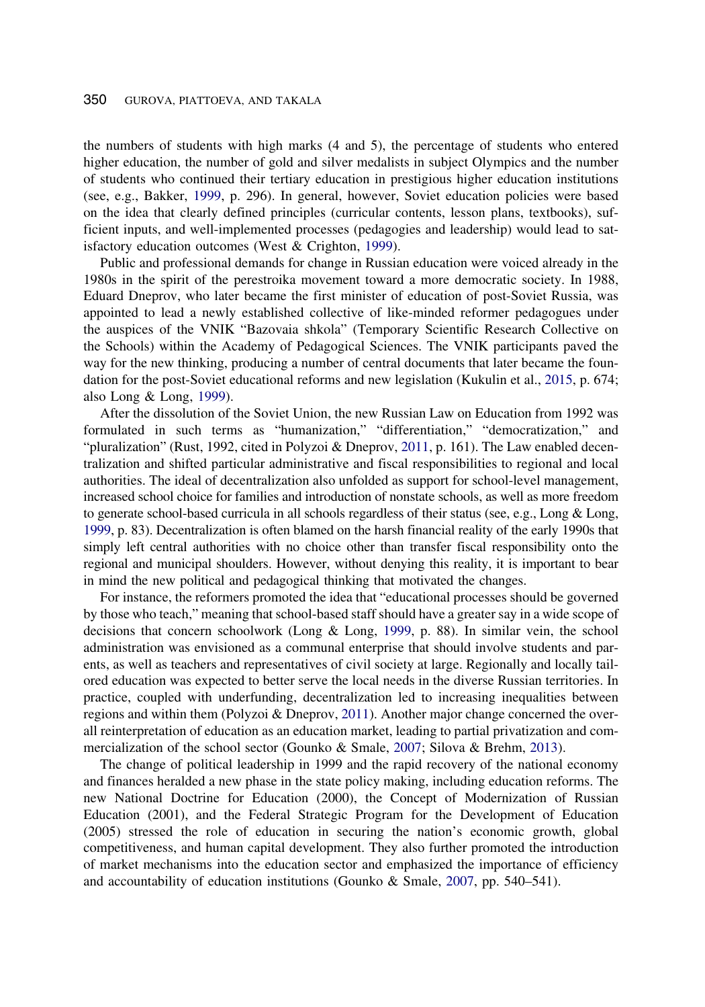the numbers of students with high marks (4 and 5), the percentage of students who entered higher education, the number of gold and silver medalists in subject Olympics and the number of students who continued their tertiary education in prestigious higher education institutions (see, e.g., Bakker, [1999](#page-16-0), p. 296). In general, however, Soviet education policies were based on the idea that clearly defined principles (curricular contents, lesson plans, textbooks), sufficient inputs, and well-implemented processes (pedagogies and leadership) would lead to satisfactory education outcomes (West & Crighton, [1999\)](#page-19-0).

Public and professional demands for change in Russian education were voiced already in the 1980s in the spirit of the perestroika movement toward a more democratic society. In 1988, Eduard Dneprov, who later became the first minister of education of post-Soviet Russia, was appointed to lead a newly established collective of like-minded reformer pedagogues under the auspices of the VNIK "Bazovaia shkola" (Temporary Scientific Research Collective on the Schools) within the Academy of Pedagogical Sciences. The VNIK participants paved the way for the new thinking, producing a number of central documents that later became the foundation for the post-Soviet educational reforms and new legislation (Kukulin et al., [2015](#page-18-0), p. 674; also Long & Long, [1999](#page-18-0)).

After the dissolution of the Soviet Union, the new Russian Law on Education from 1992 was formulated in such terms as "humanization," "differentiation," "democratization," and "pluralization" (Rust, 1992, cited in Polyzoi & Dneprov, [2011,](#page-18-0) p. 161). The Law enabled decentralization and shifted particular administrative and fiscal responsibilities to regional and local authorities. The ideal of decentralization also unfolded as support for school-level management, increased school choice for families and introduction of nonstate schools, as well as more freedom to generate school-based curricula in all schools regardless of their status (see, e.g., Long & Long, [1999](#page-18-0), p. 83). Decentralization is often blamed on the harsh financial reality of the early 1990s that simply left central authorities with no choice other than transfer fiscal responsibility onto the regional and municipal shoulders. However, without denying this reality, it is important to bear in mind the new political and pedagogical thinking that motivated the changes.

For instance, the reformers promoted the idea that "educational processes should be governed by those who teach," meaning that school-based staff should have a greater say in a wide scope of decisions that concern schoolwork (Long & Long, [1999,](#page-18-0) p. 88). In similar vein, the school administration was envisioned as a communal enterprise that should involve students and parents, as well as teachers and representatives of civil society at large. Regionally and locally tailored education was expected to better serve the local needs in the diverse Russian territories. In practice, coupled with underfunding, decentralization led to increasing inequalities between regions and within them (Polyzoi & Dneprov, [2011](#page-18-0)). Another major change concerned the overall reinterpretation of education as an education market, leading to partial privatization and commercialization of the school sector (Gounko & Smale, [2007](#page-17-0); Silova & Brehm, [2013\)](#page-19-0).

The change of political leadership in 1999 and the rapid recovery of the national economy and finances heralded a new phase in the state policy making, including education reforms. The new National Doctrine for Education (2000), the Concept of Modernization of Russian Education (2001), and the Federal Strategic Program for the Development of Education (2005) stressed the role of education in securing the nation's economic growth, global competitiveness, and human capital development. They also further promoted the introduction of market mechanisms into the education sector and emphasized the importance of efficiency and accountability of education institutions (Gounko & Smale, [2007,](#page-17-0) pp. 540–541).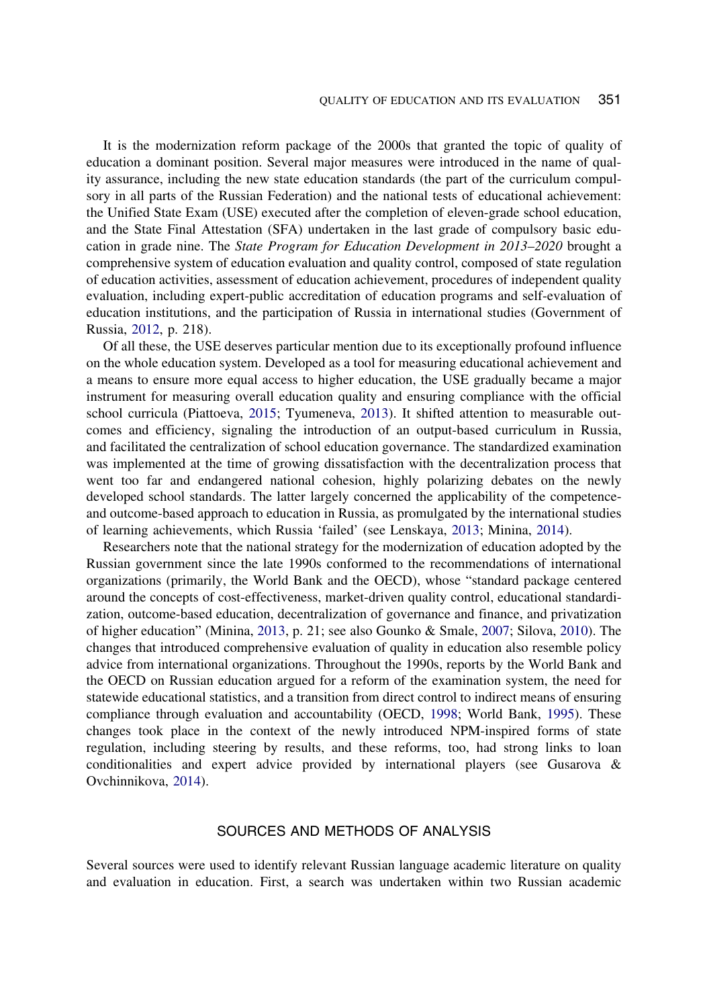It is the modernization reform package of the 2000s that granted the topic of quality of education a dominant position. Several major measures were introduced in the name of quality assurance, including the new state education standards (the part of the curriculum compulsory in all parts of the Russian Federation) and the national tests of educational achievement: the Unified State Exam (USE) executed after the completion of eleven-grade school education, and the State Final Attestation (SFA) undertaken in the last grade of compulsory basic education in grade nine. The *State Program for Education Development in 2013*–*2020* brought a comprehensive system of education evaluation and quality control, composed of state regulation of education activities, assessment of education achievement, procedures of independent quality evaluation, including expert-public accreditation of education programs and self-evaluation of education institutions, and the participation of Russia in international studies (Government of Russia, [2012](#page-17-0), p. 218).

Of all these, the USE deserves particular mention due to its exceptionally profound influence on the whole education system. Developed as a tool for measuring educational achievement and a means to ensure more equal access to higher education, the USE gradually became a major instrument for measuring overall education quality and ensuring compliance with the official school curricula (Piattoeva, [2015;](#page-18-0) Tyumeneva, [2013\)](#page-19-0). It shifted attention to measurable outcomes and efficiency, signaling the introduction of an output-based curriculum in Russia, and facilitated the centralization of school education governance. The standardized examination was implemented at the time of growing dissatisfaction with the decentralization process that went too far and endangered national cohesion, highly polarizing debates on the newly developed school standards. The latter largely concerned the applicability of the competenceand outcome-based approach to education in Russia, as promulgated by the international studies of learning achievements, which Russia 'failed' (see Lenskaya, [2013;](#page-18-0) Minina, [2014](#page-18-0)).

Researchers note that the national strategy for the modernization of education adopted by the Russian government since the late 1990s conformed to the recommendations of international organizations (primarily, the World Bank and the OECD), whose "standard package centered around the concepts of cost-effectiveness, market-driven quality control, educational standardization, outcome-based education, decentralization of governance and finance, and privatization of higher education" (Minina, [2013](#page-18-0), p. 21; see also Gounko & Smale, [2007](#page-17-0); Silova, [2010](#page-19-0)). The changes that introduced comprehensive evaluation of quality in education also resemble policy advice from international organizations. Throughout the 1990s, reports by the World Bank and the OECD on Russian education argued for a reform of the examination system, the need for statewide educational statistics, and a transition from direct control to indirect means of ensuring compliance through evaluation and accountability (OECD, [1998](#page-18-0); World Bank, [1995\)](#page-19-0). These changes took place in the context of the newly introduced NPM-inspired forms of state regulation, including steering by results, and these reforms, too, had strong links to loan conditionalities and expert advice provided by international players (see Gusarova & Ovchinnikova, [2014\)](#page-17-0).

# SOURCES AND METHODS OF ANALYSIS

Several sources were used to identify relevant Russian language academic literature on quality and evaluation in education. First, a search was undertaken within two Russian academic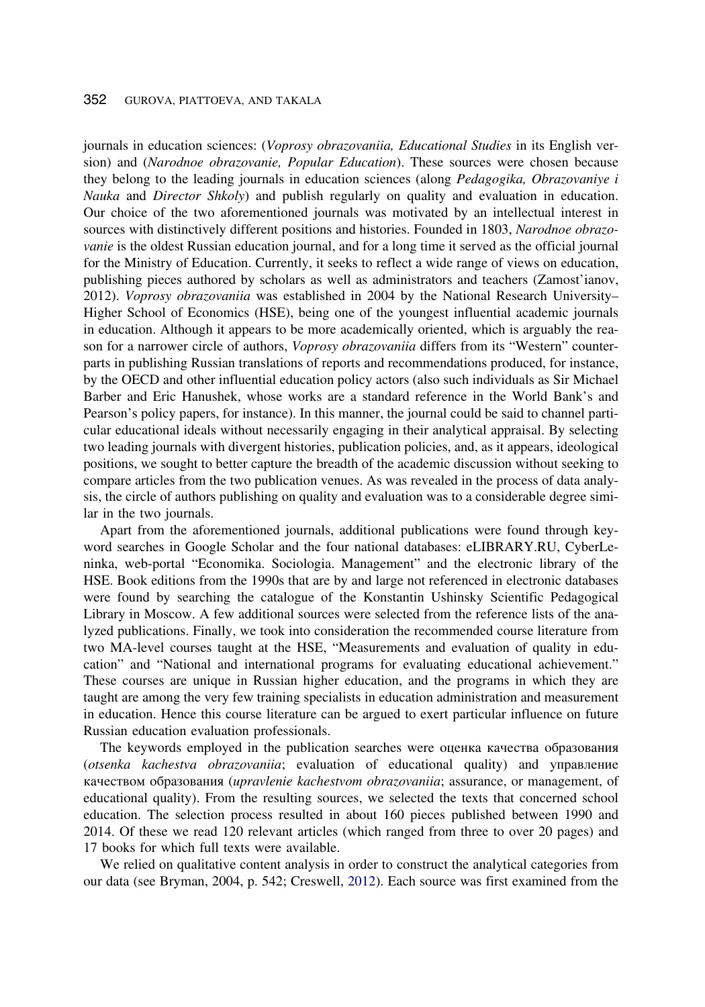journals in education sciences: (*Voprosy obrazovaniia, Educational Studies* in its English version) and (*Narodnoe obrazovanie, Popular Education*). These sources were chosen because they belong to the leading journals in education sciences (along *Pedagogika, Obrazovaniye i Nauka* and *Director Shkoly*) and publish regularly on quality and evaluation in education. Our choice of the two aforementioned journals was motivated by an intellectual interest in sources with distinctively different positions and histories. Founded in 1803, *Narodnoe obrazovanie* is the oldest Russian education journal, and for a long time it served as the official journal for the Ministry of Education. Currently, it seeks to reflect a wide range of views on education, publishing pieces authored by scholars as well as administrators and teachers (Zamost'ianov, 2012). *Voprosy obrazovaniia* was established in 2004 by the National Research University– Higher School of Economics (HSE), being one of the youngest influential academic journals in education. Although it appears to be more academically oriented, which is arguably the reason for a narrower circle of authors, *Voprosy obrazovaniia* differs from its "Western" counterparts in publishing Russian translations of reports and recommendations produced, for instance, by the OECD and other influential education policy actors (also such individuals as Sir Michael Barber and Eric Hanushek, whose works are a standard reference in the World Bank's and Pearson's policy papers, for instance). In this manner, the journal could be said to channel particular educational ideals without necessarily engaging in their analytical appraisal. By selecting two leading journals with divergent histories, publication policies, and, as it appears, ideological positions, we sought to better capture the breadth of the academic discussion without seeking to compare articles from the two publication venues. As was revealed in the process of data analysis, the circle of authors publishing on quality and evaluation was to a considerable degree similar in the two journals.

Apart from the aforementioned journals, additional publications were found through keyword searches in Google Scholar and the four national databases: eLIBRARY.RU, CyberLeninka, web-portal "Economika. Sociologia. Management" and the electronic library of the HSE. Book editions from the 1990s that are by and large not referenced in electronic databases were found by searching the catalogue of the Konstantin Ushinsky Scientific Pedagogical Library in Moscow. A few additional sources were selected from the reference lists of the analyzed publications. Finally, we took into consideration the recommended course literature from two MA-level courses taught at the HSE, "Measurements and evaluation of quality in education" and "National and international programs for evaluating educational achievement." These courses are unique in Russian higher education, and the programs in which they are taught are among the very few training specialists in education administration and measurement in education. Hence this course literature can be argued to exert particular influence on future Russian education evaluation professionals.

The keywords employed in the publication searches were оценка качества образования (*otsenka kachestva obrazovaniia*; evaluation of educational quality) and управление качеством образования (*upravlenie kachestvom obrazovaniia*; assurance, or management, of educational quality). From the resulting sources, we selected the texts that concerned school education. The selection process resulted in about 160 pieces published between 1990 and 2014. Of these we read 120 relevant articles (which ranged from three to over 20 pages) and 17 books for which full texts were available.

We relied on qualitative content analysis in order to construct the analytical categories from our data (see Bryman, 2004, p. 542; Creswell, [2012\)](#page-16-0). Each source was first examined from the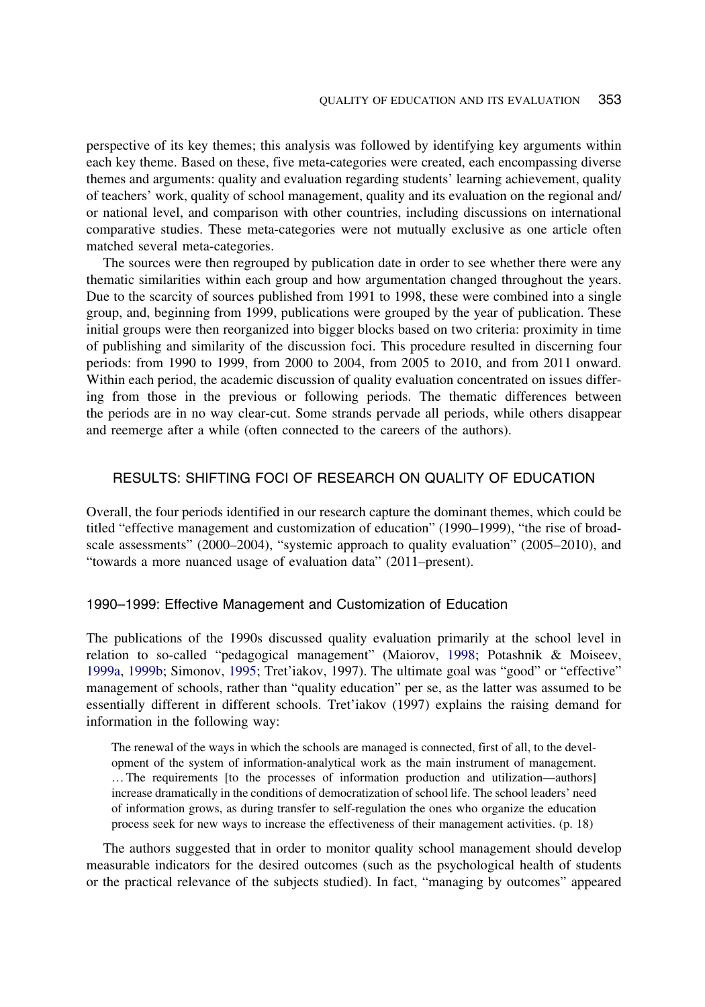perspective of its key themes; this analysis was followed by identifying key arguments within each key theme. Based on these, five meta-categories were created, each encompassing diverse themes and arguments: quality and evaluation regarding students' learning achievement, quality of teachers' work, quality of school management, quality and its evaluation on the regional and/ or national level, and comparison with other countries, including discussions on international comparative studies. These meta-categories were not mutually exclusive as one article often matched several meta-categories.

The sources were then regrouped by publication date in order to see whether there were any thematic similarities within each group and how argumentation changed throughout the years. Due to the scarcity of sources published from 1991 to 1998, these were combined into a single group, and, beginning from 1999, publications were grouped by the year of publication. These initial groups were then reorganized into bigger blocks based on two criteria: proximity in time of publishing and similarity of the discussion foci. This procedure resulted in discerning four periods: from 1990 to 1999, from 2000 to 2004, from 2005 to 2010, and from 2011 onward. Within each period, the academic discussion of quality evaluation concentrated on issues differing from those in the previous or following periods. The thematic differences between the periods are in no way clear-cut. Some strands pervade all periods, while others disappear and reemerge after a while (often connected to the careers of the authors).

# RESULTS: SHIFTING FOCI OF RESEARCH ON QUALITY OF EDUCATION

Overall, the four periods identified in our research capture the dominant themes, which could be titled "effective management and customization of education" (1990–1999), "the rise of broadscale assessments" (2000–2004), "systemic approach to quality evaluation" (2005–2010), and "towards a more nuanced usage of evaluation data" (2011–present).

#### 1990–1999: Effective Management and Customization of Education

The publications of the 1990s discussed quality evaluation primarily at the school level in relation to so-called "pedagogical management" (Maiorov, [1998;](#page-18-0) Potashnik & Moiseev, [1999a](#page-19-0), [1999b](#page-19-0); Simonov, [1995](#page-19-0); Tret'iakov, 1997). The ultimate goal was "good" or "effective" management of schools, rather than "quality education" per se, as the latter was assumed to be essentially different in different schools. Tret'iakov (1997) explains the raising demand for information in the following way:

The renewal of the ways in which the schools are managed is connected, first of all, to the development of the system of information-analytical work as the main instrument of management. … The requirements [to the processes of information production and utilization—authors] increase dramatically in the conditions of democratization of school life. The school leaders' need of information grows, as during transfer to self-regulation the ones who organize the education process seek for new ways to increase the effectiveness of their management activities. (p. 18)

The authors suggested that in order to monitor quality school management should develop measurable indicators for the desired outcomes (such as the psychological health of students or the practical relevance of the subjects studied). In fact, "managing by outcomes" appeared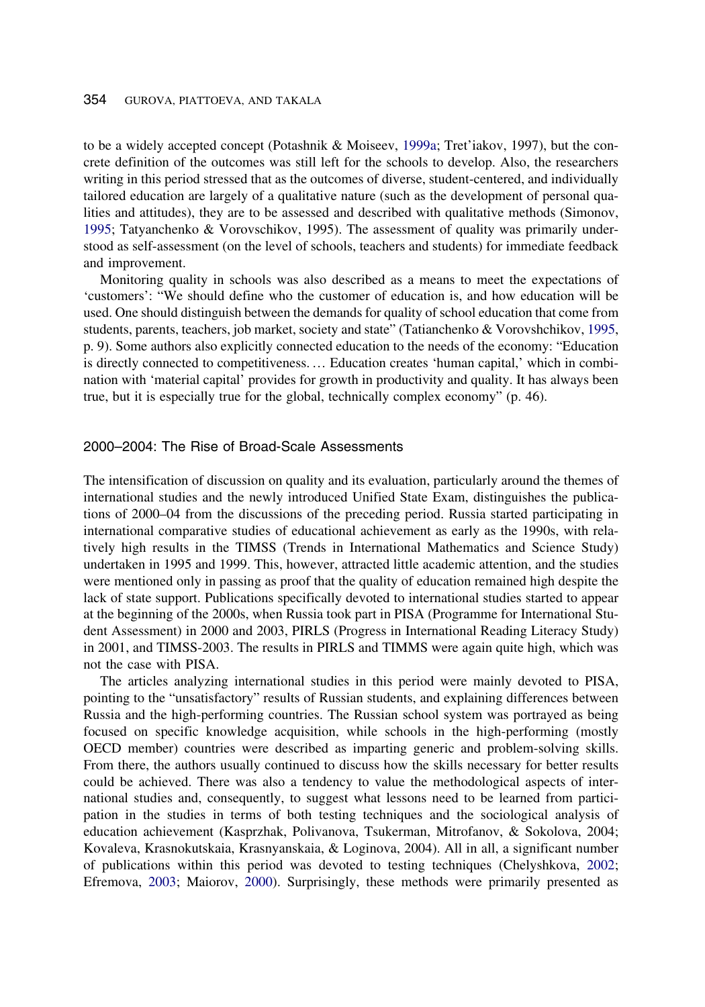#### 354 GUROVA, PIATTOEVA, AND TAKALA

to be a widely accepted concept (Potashnik & Moiseev, [1999a](#page-19-0); Tret'iakov, 1997), but the concrete definition of the outcomes was still left for the schools to develop. Also, the researchers writing in this period stressed that as the outcomes of diverse, student-centered, and individually tailored education are largely of a qualitative nature (such as the development of personal qualities and attitudes), they are to be assessed and described with qualitative methods (Simonov, [1995;](#page-19-0) Tatyanchenko & Vorovschikov, 1995). The assessment of quality was primarily understood as self-assessment (on the level of schools, teachers and students) for immediate feedback and improvement.

Monitoring quality in schools was also described as a means to meet the expectations of 'customers': "We should define who the customer of education is, and how education will be used. One should distinguish between the demands for quality of school education that come from students, parents, teachers, job market, society and state" (Tatianchenko & Vorovshchikov, [1995,](#page-19-0) p. 9). Some authors also explicitly connected education to the needs of the economy: "Education is directly connected to competitiveness. … Education creates 'human capital,' which in combination with 'material capital' provides for growth in productivity and quality. It has always been true, but it is especially true for the global, technically complex economy" (p. 46).

# 2000–2004: The Rise of Broad-Scale Assessments

The intensification of discussion on quality and its evaluation, particularly around the themes of international studies and the newly introduced Unified State Exam, distinguishes the publications of 2000–04 from the discussions of the preceding period. Russia started participating in international comparative studies of educational achievement as early as the 1990s, with relatively high results in the TIMSS (Trends in International Mathematics and Science Study) undertaken in 1995 and 1999. This, however, attracted little academic attention, and the studies were mentioned only in passing as proof that the quality of education remained high despite the lack of state support. Publications specifically devoted to international studies started to appear at the beginning of the 2000s, when Russia took part in PISA (Programme for International Student Assessment) in 2000 and 2003, PIRLS (Progress in International Reading Literacy Study) in 2001, and TIMSS-2003. The results in PIRLS and TIMMS were again quite high, which was not the case with PISA.

The articles analyzing international studies in this period were mainly devoted to PISA, pointing to the "unsatisfactory" results of Russian students, and explaining differences between Russia and the high-performing countries. The Russian school system was portrayed as being focused on specific knowledge acquisition, while schools in the high-performing (mostly OECD member) countries were described as imparting generic and problem-solving skills. From there, the authors usually continued to discuss how the skills necessary for better results could be achieved. There was also a tendency to value the methodological aspects of international studies and, consequently, to suggest what lessons need to be learned from participation in the studies in terms of both testing techniques and the sociological analysis of education achievement (Kasprzhak, Polivanova, Tsukerman, Mitrofanov, & Sokolova, 2004; Kovaleva, Krasnokutskaia, Krasnyanskaia, & Loginova, 2004). All in all, a significant number of publications within this period was devoted to testing techniques (Chelyshkova, [2002](#page-16-0); Efremova, [2003](#page-17-0); Maiorov, [2000\)](#page-18-0). Surprisingly, these methods were primarily presented as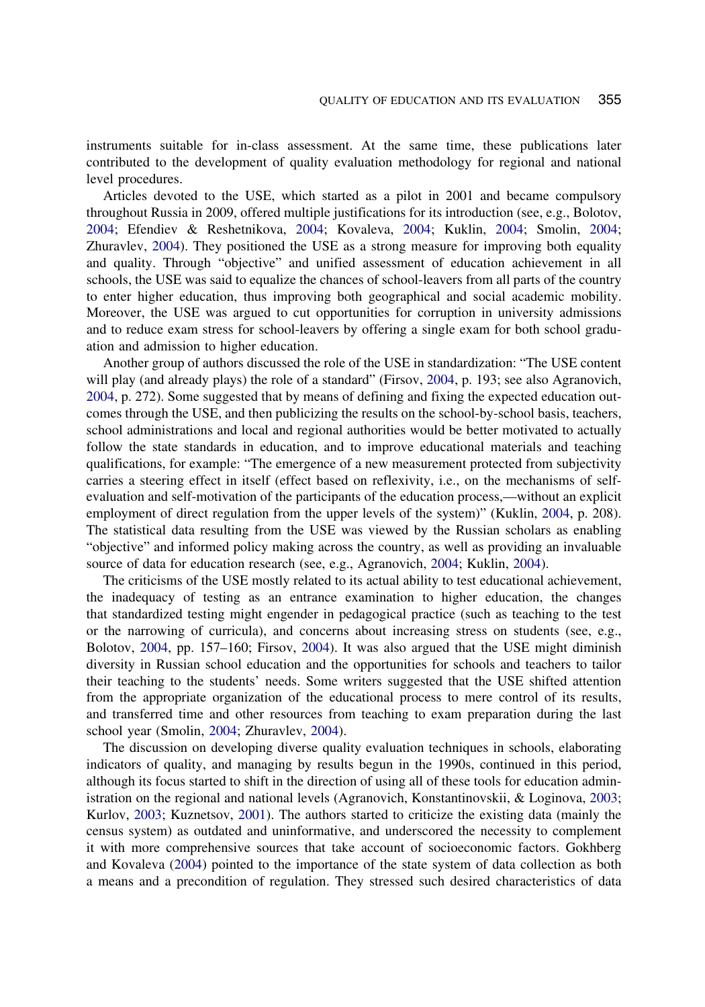instruments suitable for in-class assessment. At the same time, these publications later contributed to the development of quality evaluation methodology for regional and national level procedures.

Articles devoted to the USE, which started as a pilot in 2001 and became compulsory throughout Russia in 2009, offered multiple justifications for its introduction (see, e.g., Bolotov, [2004;](#page-16-0) Efendiev & Reshetnikova, [2004](#page-17-0); Kovaleva, [2004](#page-18-0); Kuklin, [2004](#page-18-0); Smolin, [2004;](#page-18-0) Zhuravlev, [2004\)](#page-19-0). They positioned the USE as a strong measure for improving both equality and quality. Through "objective" and unified assessment of education achievement in all schools, the USE was said to equalize the chances of school-leavers from all parts of the country to enter higher education, thus improving both geographical and social academic mobility. Moreover, the USE was argued to cut opportunities for corruption in university admissions and to reduce exam stress for school-leavers by offering a single exam for both school graduation and admission to higher education.

Another group of authors discussed the role of the USE in standardization: "The USE content will play (and already plays) the role of a standard" (Firsov, [2004,](#page-17-0) p. 193; see also Agranovich, [2004,](#page-16-0) p. 272). Some suggested that by means of defining and fixing the expected education outcomes through the USE, and then publicizing the results on the school-by-school basis, teachers, school administrations and local and regional authorities would be better motivated to actually follow the state standards in education, and to improve educational materials and teaching qualifications, for example: "The emergence of a new measurement protected from subjectivity carries a steering effect in itself (effect based on reflexivity, i.e., on the mechanisms of selfevaluation and self-motivation of the participants of the education process,—without an explicit employment of direct regulation from the upper levels of the system)" (Kuklin, [2004](#page-18-0), p. 208). The statistical data resulting from the USE was viewed by the Russian scholars as enabling "objective" and informed policy making across the country, as well as providing an invaluable source of data for education research (see, e.g., Agranovich, [2004;](#page-16-0) Kuklin, [2004\)](#page-18-0).

The criticisms of the USE mostly related to its actual ability to test educational achievement, the inadequacy of testing as an entrance examination to higher education, the changes that standardized testing might engender in pedagogical practice (such as teaching to the test or the narrowing of curricula), and concerns about increasing stress on students (see, e.g., Bolotov, [2004](#page-16-0), pp. 157–160; Firsov, [2004\)](#page-17-0). It was also argued that the USE might diminish diversity in Russian school education and the opportunities for schools and teachers to tailor their teaching to the students' needs. Some writers suggested that the USE shifted attention from the appropriate organization of the educational process to mere control of its results, and transferred time and other resources from teaching to exam preparation during the last school year (Smolin, [2004](#page-19-0); Zhuravlev, [2004](#page-19-0)).

The discussion on developing diverse quality evaluation techniques in schools, elaborating indicators of quality, and managing by results begun in the 1990s, continued in this period, although its focus started to shift in the direction of using all of these tools for education administration on the regional and national levels (Agranovich, Konstantinovskii, & Loginova, [2003;](#page-16-0) Kurlov, [2003;](#page-18-0) Kuznetsov, [2001](#page-18-0)). The authors started to criticize the existing data (mainly the census system) as outdated and uninformative, and underscored the necessity to complement it with more comprehensive sources that take account of socioeconomic factors. Gokhberg and Kovaleva ([2004\)](#page-17-0) pointed to the importance of the state system of data collection as both a means and a precondition of regulation. They stressed such desired characteristics of data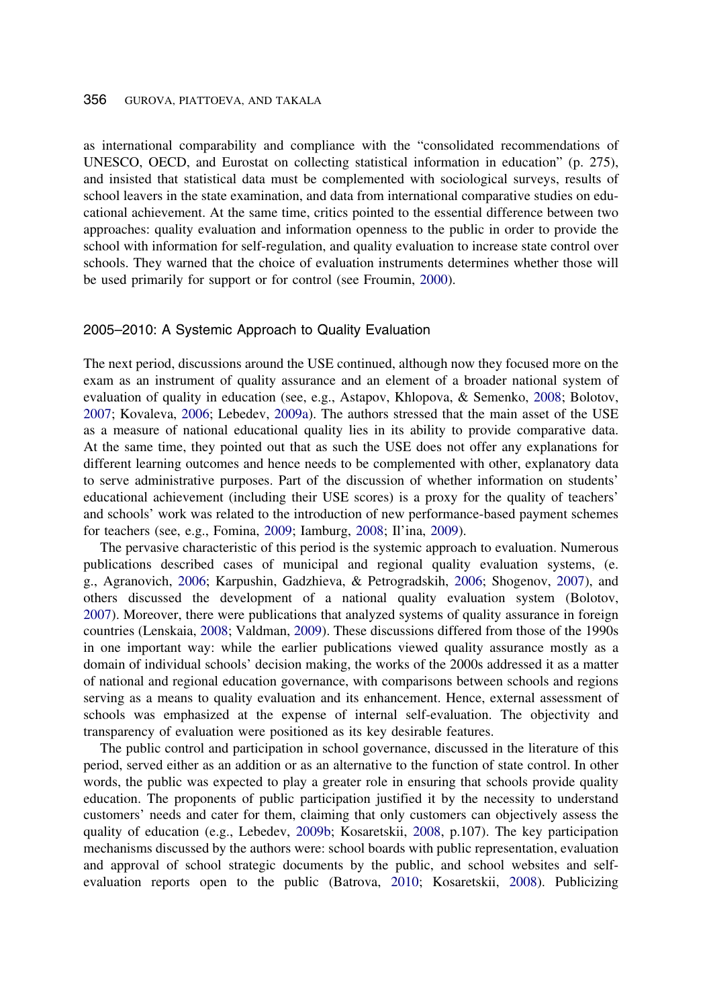as international comparability and compliance with the "consolidated recommendations of UNESCO, OECD, and Eurostat on collecting statistical information in education" (p. 275), and insisted that statistical data must be complemented with sociological surveys, results of school leavers in the state examination, and data from international comparative studies on educational achievement. At the same time, critics pointed to the essential difference between two approaches: quality evaluation and information openness to the public in order to provide the school with information for self-regulation, and quality evaluation to increase state control over schools. They warned that the choice of evaluation instruments determines whether those will be used primarily for support or for control (see Froumin, [2000](#page-17-0)).

#### 2005–2010: A Systemic Approach to Quality Evaluation

The next period, discussions around the USE continued, although now they focused more on the exam as an instrument of quality assurance and an element of a broader national system of evaluation of quality in education (see, e.g., Astapov, Khlopova, & Semenko, [2008](#page-16-0); Bolotov, [2007;](#page-16-0) Kovaleva, [2006;](#page-18-0) Lebedev, [2009a](#page-18-0)). The authors stressed that the main asset of the USE as a measure of national educational quality lies in its ability to provide comparative data. At the same time, they pointed out that as such the USE does not offer any explanations for different learning outcomes and hence needs to be complemented with other, explanatory data to serve administrative purposes. Part of the discussion of whether information on students' educational achievement (including their USE scores) is a proxy for the quality of teachers' and schools' work was related to the introduction of new performance-based payment schemes for teachers (see, e.g., Fomina, [2009;](#page-17-0) Iamburg, [2008](#page-17-0); Il'ina, [2009\)](#page-17-0).

The pervasive characteristic of this period is the systemic approach to evaluation. Numerous publications described cases of municipal and regional quality evaluation systems, (e. g., Agranovich, [2006](#page-16-0); Karpushin, Gadzhieva, & Petrogradskih, [2006;](#page-17-0) Shogenov, [2007\)](#page-19-0), and others discussed the development of a national quality evaluation system (Bolotov, [2007\)](#page-16-0). Moreover, there were publications that analyzed systems of quality assurance in foreign countries (Lenskaia, [2008](#page-18-0); Valdman, [2009](#page-19-0)). These discussions differed from those of the 1990s in one important way: while the earlier publications viewed quality assurance mostly as a domain of individual schools' decision making, the works of the 2000s addressed it as a matter of national and regional education governance, with comparisons between schools and regions serving as a means to quality evaluation and its enhancement. Hence, external assessment of schools was emphasized at the expense of internal self-evaluation. The objectivity and transparency of evaluation were positioned as its key desirable features.

The public control and participation in school governance, discussed in the literature of this period, served either as an addition or as an alternative to the function of state control. In other words, the public was expected to play a greater role in ensuring that schools provide quality education. The proponents of public participation justified it by the necessity to understand customers' needs and cater for them, claiming that only customers can objectively assess the quality of education (e.g., Lebedev, [2009b](#page-18-0); Kosaretskii, [2008](#page-17-0), p.107). The key participation mechanisms discussed by the authors were: school boards with public representation, evaluation and approval of school strategic documents by the public, and school websites and selfevaluation reports open to the public (Batrova, [2010](#page-16-0); Kosaretskii, [2008](#page-17-0)). Publicizing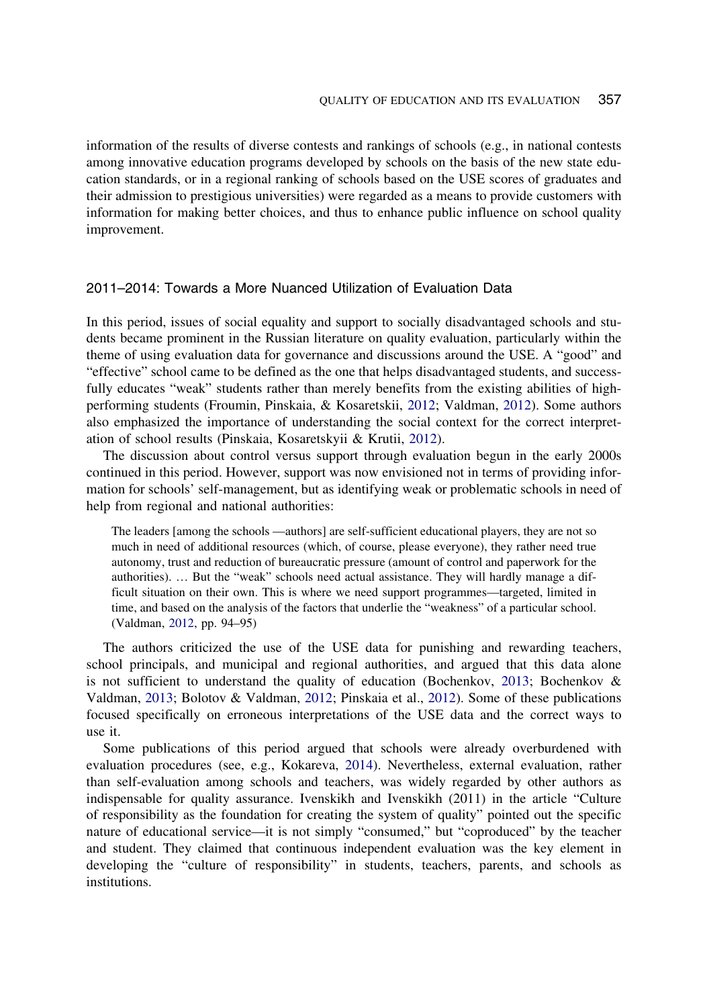information of the results of diverse contests and rankings of schools (e.g., in national contests among innovative education programs developed by schools on the basis of the new state education standards, or in a regional ranking of schools based on the USE scores of graduates and their admission to prestigious universities) were regarded as a means to provide customers with information for making better choices, and thus to enhance public influence on school quality improvement.

# 2011–2014: Towards a More Nuanced Utilization of Evaluation Data

In this period, issues of social equality and support to socially disadvantaged schools and students became prominent in the Russian literature on quality evaluation, particularly within the theme of using evaluation data for governance and discussions around the USE. A "good" and "effective" school came to be defined as the one that helps disadvantaged students, and successfully educates "weak" students rather than merely benefits from the existing abilities of highperforming students (Froumin, Pinskaia, & Kosaretskii, [2012](#page-17-0); Valdman, [2012\)](#page-19-0). Some authors also emphasized the importance of understanding the social context for the correct interpretation of school results (Pinskaia, Kosaretskyii & Krutii, [2012](#page-18-0)).

The discussion about control versus support through evaluation begun in the early 2000s continued in this period. However, support was now envisioned not in terms of providing information for schools' self-management, but as identifying weak or problematic schools in need of help from regional and national authorities:

The leaders [among the schools —authors] are self-sufficient educational players, they are not so much in need of additional resources (which, of course, please everyone), they rather need true autonomy, trust and reduction of bureaucratic pressure (amount of control and paperwork for the authorities). … But the "weak" schools need actual assistance. They will hardly manage a difficult situation on their own. This is where we need support programmes—targeted, limited in time, and based on the analysis of the factors that underlie the "weakness" of a particular school. (Valdman, [2012,](#page-19-0) pp. 94–95)

The authors criticized the use of the USE data for punishing and rewarding teachers, school principals, and municipal and regional authorities, and argued that this data alone is not sufficient to understand the quality of education (Bochenkov, [2013](#page-16-0); Bochenkov  $\&$ Valdman, [2013;](#page-16-0) Bolotov & Valdman, [2012;](#page-16-0) Pinskaia et al., [2012\)](#page-18-0). Some of these publications focused specifically on erroneous interpretations of the USE data and the correct ways to use it.

Some publications of this period argued that schools were already overburdened with evaluation procedures (see, e.g., Kokareva, [2014\)](#page-17-0). Nevertheless, external evaluation, rather than self-evaluation among schools and teachers, was widely regarded by other authors as indispensable for quality assurance. Ivenskikh and Ivenskikh (2011) in the article "Culture of responsibility as the foundation for creating the system of quality" pointed out the specific nature of educational service—it is not simply "consumed," but "coproduced" by the teacher and student. They claimed that continuous independent evaluation was the key element in developing the "culture of responsibility" in students, teachers, parents, and schools as institutions.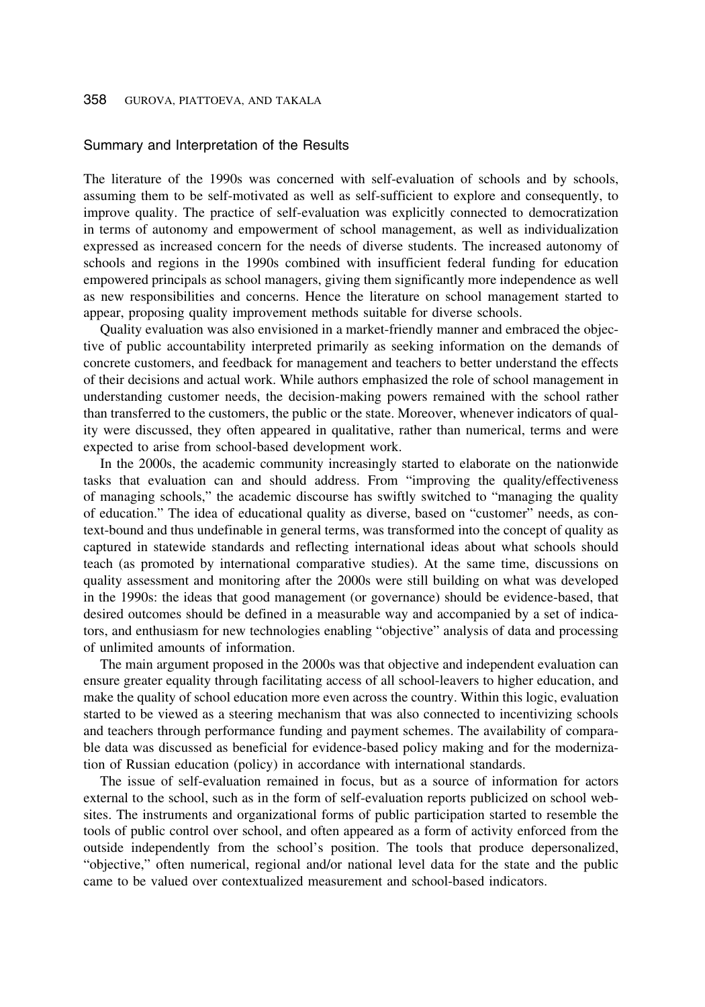#### 358 GUROVA, PIATTOEVA, AND TAKALA

#### Summary and Interpretation of the Results

The literature of the 1990s was concerned with self-evaluation of schools and by schools, assuming them to be self-motivated as well as self-sufficient to explore and consequently, to improve quality. The practice of self-evaluation was explicitly connected to democratization in terms of autonomy and empowerment of school management, as well as individualization expressed as increased concern for the needs of diverse students. The increased autonomy of schools and regions in the 1990s combined with insufficient federal funding for education empowered principals as school managers, giving them significantly more independence as well as new responsibilities and concerns. Hence the literature on school management started to appear, proposing quality improvement methods suitable for diverse schools.

Quality evaluation was also envisioned in a market-friendly manner and embraced the objective of public accountability interpreted primarily as seeking information on the demands of concrete customers, and feedback for management and teachers to better understand the effects of their decisions and actual work. While authors emphasized the role of school management in understanding customer needs, the decision-making powers remained with the school rather than transferred to the customers, the public or the state. Moreover, whenever indicators of quality were discussed, they often appeared in qualitative, rather than numerical, terms and were expected to arise from school-based development work.

In the 2000s, the academic community increasingly started to elaborate on the nationwide tasks that evaluation can and should address. From "improving the quality/effectiveness of managing schools," the academic discourse has swiftly switched to "managing the quality of education." The idea of educational quality as diverse, based on "customer" needs, as context-bound and thus undefinable in general terms, was transformed into the concept of quality as captured in statewide standards and reflecting international ideas about what schools should teach (as promoted by international comparative studies). At the same time, discussions on quality assessment and monitoring after the 2000s were still building on what was developed in the 1990s: the ideas that good management (or governance) should be evidence-based, that desired outcomes should be defined in a measurable way and accompanied by a set of indicators, and enthusiasm for new technologies enabling "objective" analysis of data and processing of unlimited amounts of information.

The main argument proposed in the 2000s was that objective and independent evaluation can ensure greater equality through facilitating access of all school-leavers to higher education, and make the quality of school education more even across the country. Within this logic, evaluation started to be viewed as a steering mechanism that was also connected to incentivizing schools and teachers through performance funding and payment schemes. The availability of comparable data was discussed as beneficial for evidence-based policy making and for the modernization of Russian education (policy) in accordance with international standards.

The issue of self-evaluation remained in focus, but as a source of information for actors external to the school, such as in the form of self-evaluation reports publicized on school websites. The instruments and organizational forms of public participation started to resemble the tools of public control over school, and often appeared as a form of activity enforced from the outside independently from the school's position. The tools that produce depersonalized, "objective," often numerical, regional and/or national level data for the state and the public came to be valued over contextualized measurement and school-based indicators.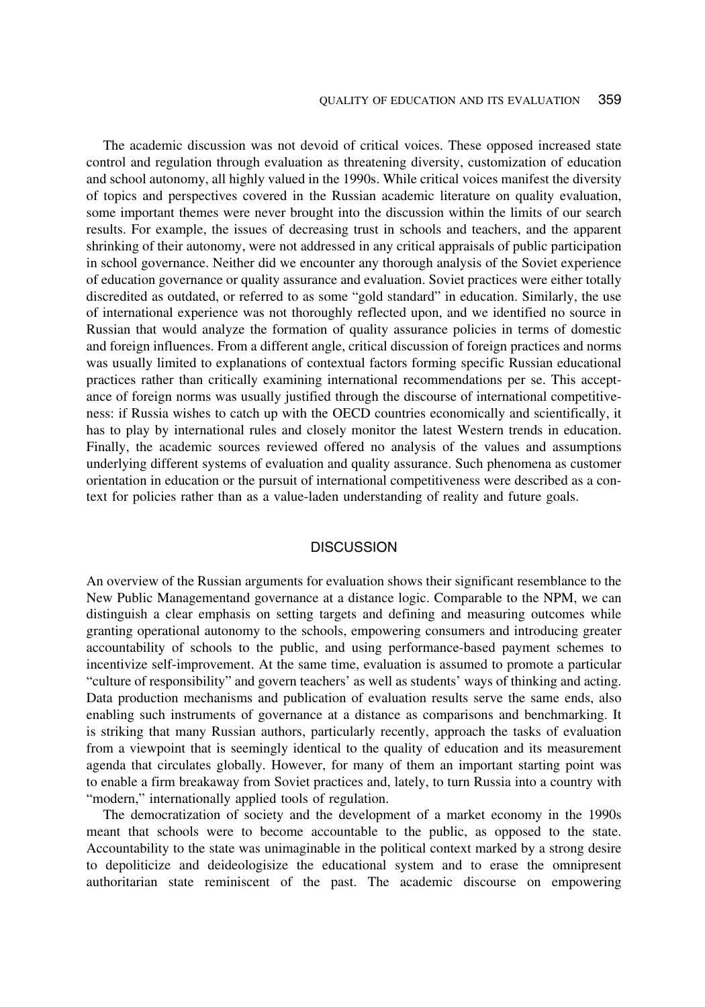The academic discussion was not devoid of critical voices. These opposed increased state control and regulation through evaluation as threatening diversity, customization of education and school autonomy, all highly valued in the 1990s. While critical voices manifest the diversity of topics and perspectives covered in the Russian academic literature on quality evaluation, some important themes were never brought into the discussion within the limits of our search results. For example, the issues of decreasing trust in schools and teachers, and the apparent shrinking of their autonomy, were not addressed in any critical appraisals of public participation in school governance. Neither did we encounter any thorough analysis of the Soviet experience of education governance or quality assurance and evaluation. Soviet practices were either totally discredited as outdated, or referred to as some "gold standard" in education. Similarly, the use of international experience was not thoroughly reflected upon, and we identified no source in Russian that would analyze the formation of quality assurance policies in terms of domestic and foreign influences. From a different angle, critical discussion of foreign practices and norms was usually limited to explanations of contextual factors forming specific Russian educational practices rather than critically examining international recommendations per se. This acceptance of foreign norms was usually justified through the discourse of international competitiveness: if Russia wishes to catch up with the OECD countries economically and scientifically, it has to play by international rules and closely monitor the latest Western trends in education. Finally, the academic sources reviewed offered no analysis of the values and assumptions underlying different systems of evaluation and quality assurance. Such phenomena as customer orientation in education or the pursuit of international competitiveness were described as a context for policies rather than as a value-laden understanding of reality and future goals.

#### **DISCUSSION**

An overview of the Russian arguments for evaluation shows their significant resemblance to the New Public Managementand governance at a distance logic. Comparable to the NPM, we can distinguish a clear emphasis on setting targets and defining and measuring outcomes while granting operational autonomy to the schools, empowering consumers and introducing greater accountability of schools to the public, and using performance-based payment schemes to incentivize self-improvement. At the same time, evaluation is assumed to promote a particular "culture of responsibility" and govern teachers' as well as students' ways of thinking and acting. Data production mechanisms and publication of evaluation results serve the same ends, also enabling such instruments of governance at a distance as comparisons and benchmarking. It is striking that many Russian authors, particularly recently, approach the tasks of evaluation from a viewpoint that is seemingly identical to the quality of education and its measurement agenda that circulates globally. However, for many of them an important starting point was to enable a firm breakaway from Soviet practices and, lately, to turn Russia into a country with "modern," internationally applied tools of regulation.

The democratization of society and the development of a market economy in the 1990s meant that schools were to become accountable to the public, as opposed to the state. Accountability to the state was unimaginable in the political context marked by a strong desire to depoliticize and deideologisize the educational system and to erase the omnipresent authoritarian state reminiscent of the past. The academic discourse on empowering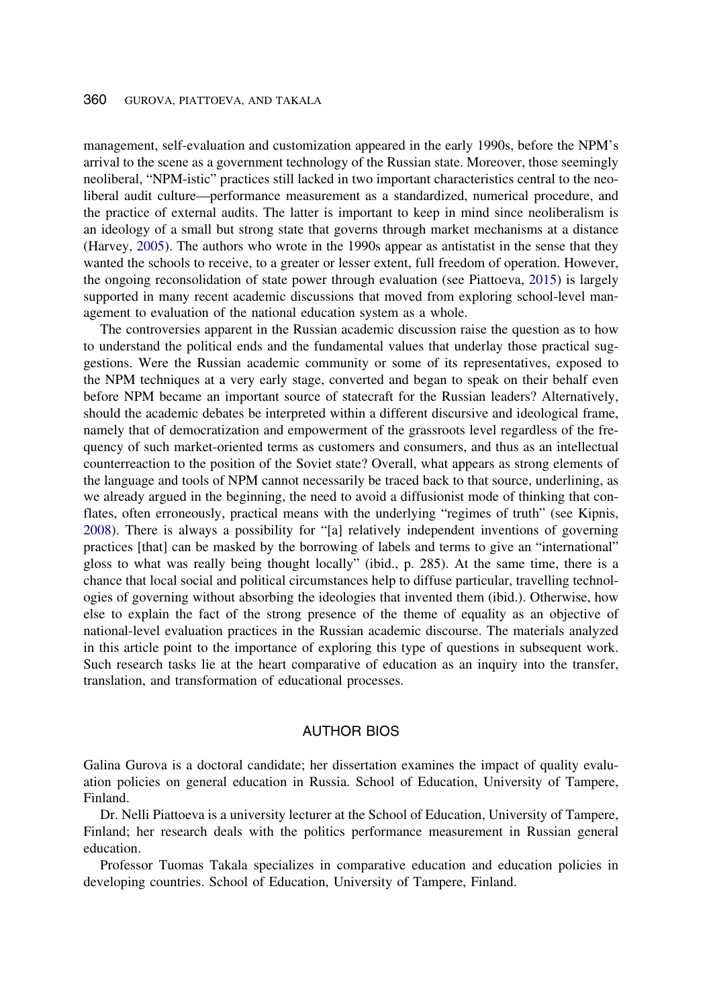management, self-evaluation and customization appeared in the early 1990s, before the NPM's arrival to the scene as a government technology of the Russian state. Moreover, those seemingly neoliberal, "NPM-istic" practices still lacked in two important characteristics central to the neoliberal audit culture—performance measurement as a standardized, numerical procedure, and the practice of external audits. The latter is important to keep in mind since neoliberalism is an ideology of a small but strong state that governs through market mechanisms at a distance (Harvey, [2005\)](#page-17-0). The authors who wrote in the 1990s appear as antistatist in the sense that they wanted the schools to receive, to a greater or lesser extent, full freedom of operation. However, the ongoing reconsolidation of state power through evaluation (see Piattoeva, [2015](#page-18-0)) is largely supported in many recent academic discussions that moved from exploring school-level management to evaluation of the national education system as a whole.

The controversies apparent in the Russian academic discussion raise the question as to how to understand the political ends and the fundamental values that underlay those practical suggestions. Were the Russian academic community or some of its representatives, exposed to the NPM techniques at a very early stage, converted and began to speak on their behalf even before NPM became an important source of statecraft for the Russian leaders? Alternatively, should the academic debates be interpreted within a different discursive and ideological frame, namely that of democratization and empowerment of the grassroots level regardless of the frequency of such market-oriented terms as customers and consumers, and thus as an intellectual counterreaction to the position of the Soviet state? Overall, what appears as strong elements of the language and tools of NPM cannot necessarily be traced back to that source, underlining, as we already argued in the beginning, the need to avoid a diffusionist mode of thinking that conflates, often erroneously, practical means with the underlying "regimes of truth" (see Kipnis, [2008\)](#page-17-0). There is always a possibility for "[a] relatively independent inventions of governing practices [that] can be masked by the borrowing of labels and terms to give an "international" gloss to what was really being thought locally" (ibid., p. 285). At the same time, there is a chance that local social and political circumstances help to diffuse particular, travelling technologies of governing without absorbing the ideologies that invented them (ibid.). Otherwise, how else to explain the fact of the strong presence of the theme of equality as an objective of national-level evaluation practices in the Russian academic discourse. The materials analyzed in this article point to the importance of exploring this type of questions in subsequent work. Such research tasks lie at the heart comparative of education as an inquiry into the transfer, translation, and transformation of educational processes.

#### AUTHOR BIOS

Galina Gurova is a doctoral candidate; her dissertation examines the impact of quality evaluation policies on general education in Russia. School of Education, University of Tampere, Finland.

Dr. Nelli Piattoeva is a university lecturer at the School of Education, University of Tampere, Finland; her research deals with the politics performance measurement in Russian general education.

Professor Tuomas Takala specializes in comparative education and education policies in developing countries. School of Education, University of Tampere, Finland.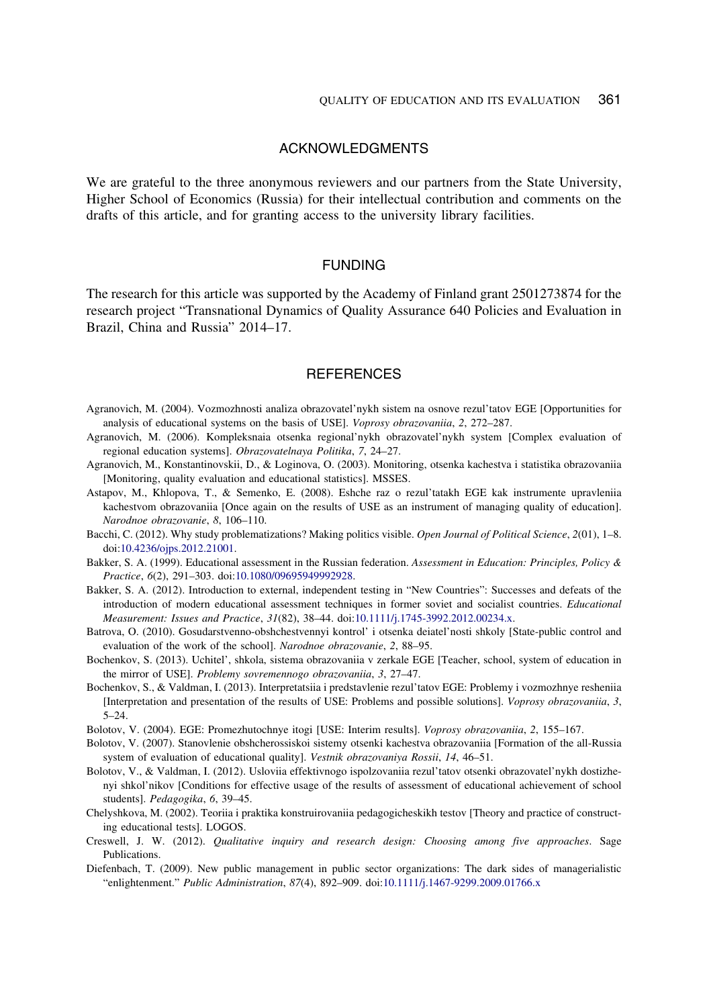#### ACKNOWLEDGMENTS

<span id="page-16-0"></span>We are grateful to the three anonymous reviewers and our partners from the State University, Higher School of Economics (Russia) for their intellectual contribution and comments on the drafts of this article, and for granting access to the university library facilities.

#### FUNDING

The research for this article was supported by the Academy of Finland grant 2501273874 for the research project "Transnational Dynamics of Quality Assurance 640 Policies and Evaluation in Brazil, China and Russia" 2014–17.

#### **REFERENCES**

- Agranovich, M. (2004). Vozmozhnosti analiza obrazovatel'nykh sistem na osnove rezul'tatov EGE [Opportunities for analysis of educational systems on the basis of USE]. *Voprosy obrazovaniia*, *2*, 272–287.
- Agranovich, M. (2006). Kompleksnaia otsenka regional'nykh obrazovatel'nykh system [Complex evaluation of regional education systems]. *Obrazovatelnaya Politika*, *7*, 24–27.
- Agranovich, M., Konstantinovskii, D., & Loginova, O. (2003). Monitoring, otsenka kachestva i statistika obrazovaniia [Monitoring, quality evaluation and educational statistics]. MSSES.
- Astapov, M., Khlopova, T., & Semenko, E. (2008). Eshche raz o rezul'tatakh EGE kak instrumente upravleniia kachestvom obrazovaniia [Once again on the results of USE as an instrument of managing quality of education]. *Narodnoe obrazovanie*, *8*, 106–110.
- Bacchi, C. (2012). Why study problematizations? Making politics visible. *Open Journal of Political Science*, *2*(01), 1–8. doi[:10.4236/ojps.2012.21001](http://dx.doi.org/10.4236/ojps.2012.21001).
- Bakker, S. A. (1999). Educational assessment in the Russian federation. *Assessment in Education: Principles, Policy & Practice*, *6*(2), 291–303. doi[:10.1080/09695949992928](http://dx.doi.org/10.1080/09695949992928).
- Bakker, S. A. (2012). Introduction to external, independent testing in "New Countries": Successes and defeats of the introduction of modern educational assessment techniques in former soviet and socialist countries. *Educational Measurement: Issues and Practice*, *31*(82), 38–44. doi:[10.1111/j.1745-3992.2012.00234.x](http://dx.doi.org/10.1111/j.1745-3992.2012.00234.x).
- Batrova, O. (2010). Gosudarstvenno-obshchestvennyi kontrol' i otsenka deiatel'nosti shkoly [State-public control and evaluation of the work of the school]. *Narodnoe obrazovanie*, *2*, 88–95.
- Bochenkov, S. (2013). Uchitel', shkola, sistema obrazovaniia v zerkale EGE [Teacher, school, system of education in the mirror of USE]. *Problemy sovremennogo obrazovaniia*, *3*, 27–47.
- Bochenkov, S., & Valdman, I. (2013). Interpretatsiia i predstavlenie rezul'tatov EGE: Problemy i vozmozhnye resheniia [Interpretation and presentation of the results of USE: Problems and possible solutions]. *Voprosy obrazovaniia*, *3*, 5–24.
- Bolotov, V. (2004). EGE: Promezhutochnye itogi [USE: Interim results]. *Voprosy obrazovaniia*, *2*, 155–167.
- Bolotov, V. (2007). Stanovlenie obshcherossiskoi sistemy otsenki kachestva obrazovaniia [Formation of the all-Russia system of evaluation of educational quality]. *Vestnik obrazovaniya Rossii*, *14*, 46–51.
- Bolotov, V., & Valdman, I. (2012). Usloviia effektivnogo ispolzovaniia rezul'tatov otsenki obrazovatel'nykh dostizhenyi shkol'nikov [Conditions for effective usage of the results of assessment of educational achievement of school students]. *Pedagogika*, *6*, 39–45.
- Chelyshkova, M. (2002). Teoriia i praktika konstruirovaniia pedagogicheskikh testov [Theory and practice of constructing educational tests]. LOGOS.
- Creswell, J. W. (2012). *Qualitative inquiry and research design: Choosing among five approaches*. Sage Publications.
- Diefenbach, T. (2009). New public management in public sector organizations: The dark sides of managerialistic "enlightenment." *Public Administration*, *87*(4), 892–909. doi:[10.1111/j.1467-9299.2009.01766.x](http://dx.doi.org/10.1111/j.1467-9299.2009.01766.x)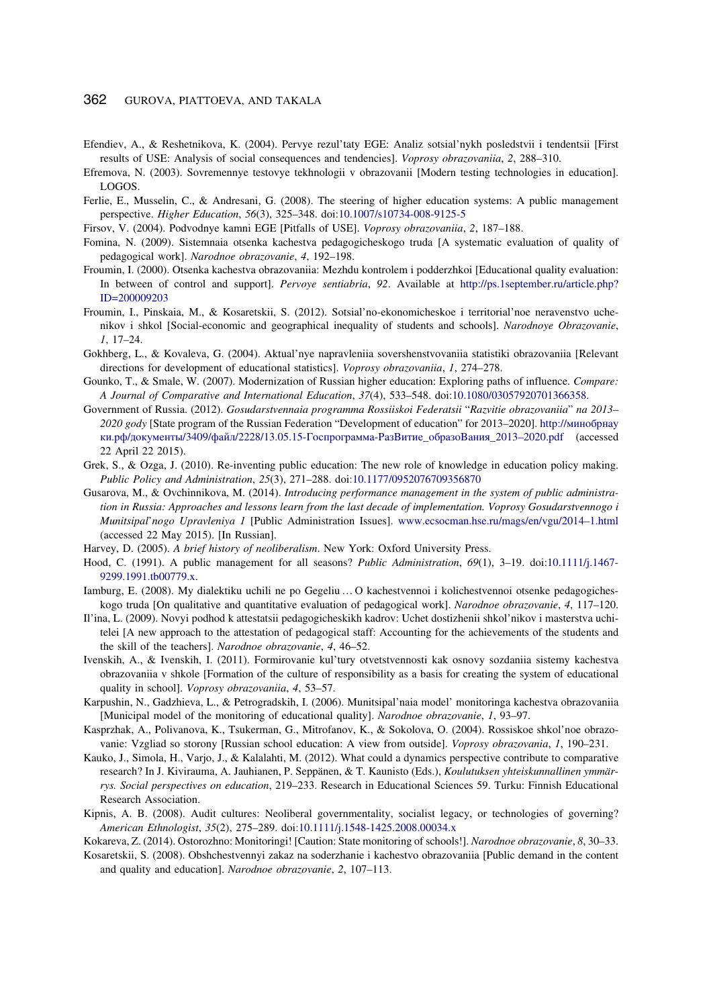- <span id="page-17-0"></span>Efendiev, A., & Reshetnikova, K. (2004). Pervye rezul'taty EGE: Analiz sotsial'nykh posledstvii i tendentsii [First results of USE: Analysis of social consequences and tendencies]. *Voprosy obrazovaniia*, *2*, 288–310.
- Efremova, N. (2003). Sovremennye testovye tekhnologii v obrazovanii [Modern testing technologies in education]. LOGOS.
- Ferlie, E., Musselin, C., & Andresani, G. (2008). The steering of higher education systems: A public management perspective. *Higher Education*, *56*(3), 325–348. doi[:10.1007/s10734-008-9125-5](http://dx.doi.org/10.1007/s10734-008-9125-5)
- Firsov, V. (2004). Podvodnye kamni EGE [Pitfalls of USE]. *Voprosy obrazovaniia*, *2*, 187–188.
- Fomina, N. (2009). Sistemnaia otsenka kachestva pedagogicheskogo truda [A systematic evaluation of quality of pedagogical work]. *Narodnoe obrazovanie*, *4*, 192–198.
- Froumin, I. (2000). Otsenka kachestva obrazovaniia: Mezhdu kontrolem i podderzhkoi [Educational quality evaluation: In between of control and support]. *Pervoye sentiabria*, *92*. Available at [http://ps.1september.ru/article.php?](http://ps.1september.ru/article.php?ID=200009203) [ID=200009203](http://ps.1september.ru/article.php?ID=200009203)
- Froumin, I., Pinskaia, M., & Kosaretskii, S. (2012). Sotsial'no-ekonomicheskoe i territorial'noe neravenstvo uchenikov i shkol [Social-economic and geographical inequality of students and schools]. *Narodnoye Obrazovanie*, *1*, 17–24.
- Gokhberg, L., & Kovaleva, G. (2004). Aktual'nye napravleniia sovershenstvovaniia statistiki obrazovaniia [Relevant directions for development of educational statistics]. *Voprosy obrazovaniia*, *1*, 274–278.
- Gounko, T., & Smale, W. (2007). Modernization of Russian higher education: Exploring paths of influence. *Compare: A Journal of Comparative and International Education*, *37*(4), 533–548. doi[:10.1080/03057920701366358](http://dx.doi.org/10.1080/03057920701366358).
- Government of Russia. (2012). *Gosudarstvennaia programma Rossiiskoi Federatsii* "*Razvitie obrazovaniia*" *na 2013 2020 gody* [State program of the Russian Federation "Development of education" for 2013–2020]. http://[минобрнау](http://минобрнауки.рф/документы/3409/файл/2228/13.05.15-Госпрограмма-Разбитие_образобания_2013–2020.pdf) ки.рф/документы/3409/файл/2228/13.05.15-[Госпрограмма](http://минобрнауки.рф/документы/3409/файл/2228/13.05.15-Госпрограмма-Разбитие_образобания_2013–2020.pdf)-РазBитие\_образоBания\_2013–2020.pdf (accessed 22 April 22 2015).
- Grek, S., & Ozga, J. (2010). Re-inventing public education: The new role of knowledge in education policy making. *Public Policy and Administration*, *25*(3), 271–288. doi[:10.1177/0952076709356870](http://dx.doi.org/10.1177/0952076709356870)
- Gusarova, M., & Ovchinnikova, M. (2014). *Introducing performance management in the system of public administration in Russia: Approaches and lessons learn from the last decade of implementation. Voprosy Gosudarstvennogo i Munitsipal*'*nogo Upravleniya 1* [Public Administration Issues]. [www.ecsocman.hse.ru/mags/en/vgu/2014–1.html](http://www.ecsocman.hse.ru/mags/en/vgu/2014--1.html) (accessed 22 May 2015). [In Russian].
- Harvey, D. (2005). *A brief history of neoliberalism*. New York: Oxford University Press.
- Hood, C. (1991). A public management for all seasons? *Public Administration*, *69*(1), 3–19. doi[:10.1111/j.1467-](http://dx.doi.org/10.1111/j.1467-9299.1991.tb00779.x) [9299.1991.tb00779.x.](http://dx.doi.org/10.1111/j.1467-9299.1991.tb00779.x)
- Iamburg, E. (2008). My dialektiku uchili ne po Gegeliu … O kachestvennoi i kolichestvennoi otsenke pedagogicheskogo truda [On qualitative and quantitative evaluation of pedagogical work]. *Narodnoe obrazovanie*, *4*, 117–120.
- Il'ina, L. (2009). Novyi podhod k attestatsii pedagogicheskikh kadrov: Uchet dostizhenii shkol'nikov i masterstva uchitelei [A new approach to the attestation of pedagogical staff: Accounting for the achievements of the students and the skill of the teachers]. *Narodnoe obrazovanie*, *4*, 46–52.
- Ivenskih, A., & Ivenskih, I. (2011). Formirovanie kul'tury otvetstvennosti kak osnovy sozdaniia sistemy kachestva obrazovaniia v shkole [Formation of the culture of responsibility as a basis for creating the system of educational quality in school]. *Voprosy obrazovaniia*, *4*, 53–57.
- Karpushin, N., Gadzhieva, L., & Petrogradskih, I. (2006). Munitsipal'naia model' monitoringa kachestva obrazovaniia [Municipal model of the monitoring of educational quality]. *Narodnoe obrazovanie*, *1*, 93–97.
- Kasprzhak, A., Polivanova, K., Tsukerman, G., Mitrofanov, K., & Sokolova, O. (2004). Rossiskoe shkol'noe obrazovanie: Vzgliad so storony [Russian school education: A view from outside]. *Voprosy obrazovania*, *1*, 190–231.
- Kauko, J., Simola, H., Varjo, J., & Kalalahti, M. (2012). What could a dynamics perspective contribute to comparative research? In J. Kivirauma, A. Jauhianen, P. Seppänen, & T. Kaunisto (Eds.), *Koulutuksen yhteiskunnallinen ymmärrys. Social perspectives on education*, 219–233. Research in Educational Sciences 59. Turku: Finnish Educational Research Association.
- Kipnis, A. B. (2008). Audit cultures: Neoliberal governmentality, socialist legacy, or technologies of governing? *American Ethnologist*, *35*(2), 275–289. doi:[10.1111/j.1548-1425.2008.00034.x](http://dx.doi.org/10.1111/j.1548-1425.2008.00034.x)
- Kokareva, Z. (2014). Ostorozhno: Monitoringi! [Caution: State monitoring of schools!]. *Narodnoe obrazovanie*, *8*, 30–33.
- Kosaretskii, S. (2008). Obshchestvennyi zakaz na soderzhanie i kachestvo obrazovaniia [Public demand in the content and quality and education]. *Narodnoe obrazovanie*, *2*, 107–113.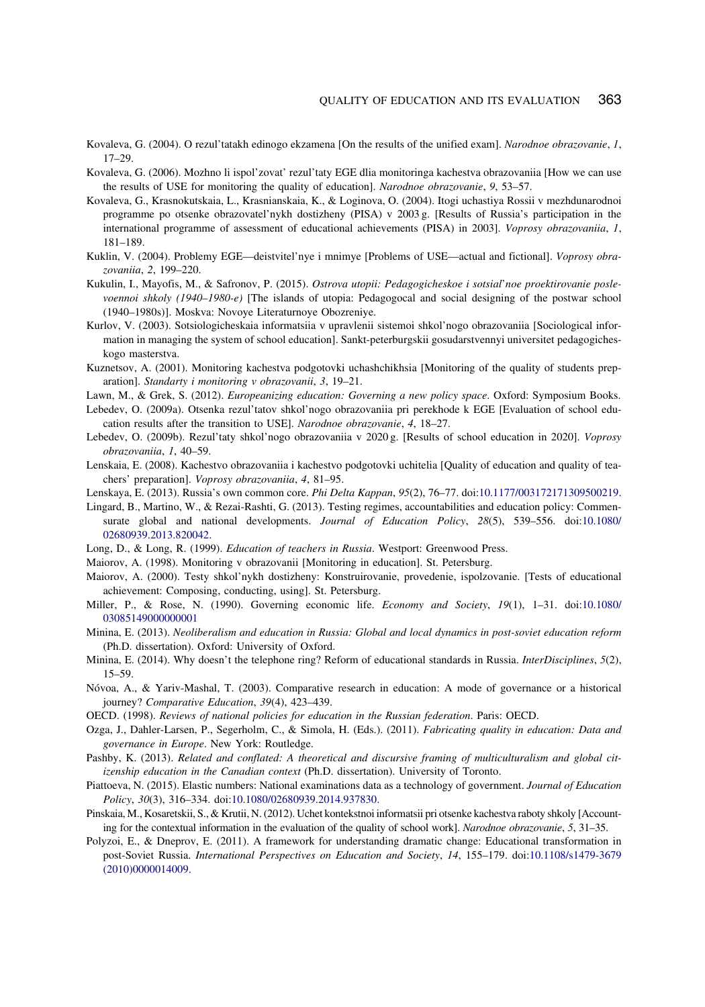- <span id="page-18-0"></span>Kovaleva, G. (2004). O rezul'tatakh edinogo ekzamena [On the results of the unified exam]. *Narodnoe obrazovanie*, *1*, 17–29.
- Kovaleva, G. (2006). Mozhno li ispol'zovat' rezul'taty EGE dlia monitoringa kachestva obrazovaniia [How we can use the results of USE for monitoring the quality of education]. *Narodnoe obrazovanie*, *9*, 53–57.
- Kovaleva, G., Krasnokutskaia, L., Krasnianskaia, K., & Loginova, O. (2004). Itogi uchastiya Rossii v mezhdunarodnoi programme po otsenke obrazovatel'nykh dostizheny (PISA) v 2003 g. [Results of Russia's participation in the international programme of assessment of educational achievements (PISA) in 2003]. *Voprosy obrazovaniia*, *1*, 181–189.
- Kuklin, V. (2004). Problemy EGE—deistvitel'nye i mnimye [Problems of USE—actual and fictional]. *Voprosy obrazovaniia*, *2*, 199–220.
- Kukulin, I., Mayofis, M., & Safronov, P. (2015). *Ostrova utopii: Pedagogicheskoe i sotsial*'*noe proektirovanie poslevoennoi shkoly (1940*–*1980-e)* [The islands of utopia: Pedagogocal and social designing of the postwar school (1940–1980s)]. Moskva: Novoye Literaturnoye Obozreniye.
- Kurlov, V. (2003). Sotsiologicheskaia informatsiia v upravlenii sistemoi shkol'nogo obrazovaniia [Sociological information in managing the system of school education]. Sankt-peterburgskii gosudarstvennyi universitet pedagogicheskogo masterstva.
- Kuznetsov, A. (2001). Monitoring kachestva podgotovki uchashchikhsia [Monitoring of the quality of students preparation]. *Standarty i monitoring v obrazovanii*, *3*, 19–21.
- Lawn, M., & Grek, S. (2012). *Europeanizing education: Governing a new policy space*. Oxford: Symposium Books.
- Lebedev, O. (2009a). Otsenka rezul'tatov shkol'nogo obrazovaniia pri perekhode k EGE [Evaluation of school education results after the transition to USE]. *Narodnoe obrazovanie*, *4*, 18–27.
- Lebedev, O. (2009b). Rezul'taty shkol'nogo obrazovaniia v 2020 g. [Results of school education in 2020]. *Voprosy obrazovaniia*, *1*, 40–59.
- Lenskaia, E. (2008). Kachestvo obrazovaniia i kachestvo podgotovki uchitelia [Quality of education and quality of teachers' preparation]. *Voprosy obrazovaniia*, *4*, 81–95.
- Lenskaya, E. (2013). Russia's own common core. *Phi Delta Kappan*, *95*(2), 76–77. doi[:10.1177/003172171309500219](http://dx.doi.org/10.1177/003172171309500219).
- Lingard, B., Martino, W., & Rezai-Rashti, G. (2013). Testing regimes, accountabilities and education policy: Commensurate global and national developments. *Journal of Education Policy*, *28*(5), 539–556. doi[:10.1080/](http://dx.doi.org/10.1080/02680939.2013.820042) [02680939.2013.820042](http://dx.doi.org/10.1080/02680939.2013.820042).
- Long, D., & Long, R. (1999). *Education of teachers in Russia*. Westport: Greenwood Press.
- Maiorov, A. (1998). Monitoring v obrazovanii [Monitoring in education]. St. Petersburg.
- Maiorov, A. (2000). Testy shkol'nykh dostizheny: Konstruirovanie, provedenie, ispolzovanie. [Tests of educational achievement: Composing, conducting, using]. St. Petersburg.
- Miller, P., & Rose, N. (1990). Governing economic life. *Economy and Society*, *19*(1), 1–31. doi[:10.1080/](http://dx.doi.org/10.1080/03085149000000001) [03085149000000001](http://dx.doi.org/10.1080/03085149000000001)
- Minina, E. (2013). *Neoliberalism and education in Russia: Global and local dynamics in post-soviet education reform*  (Ph.D. dissertation). Oxford: University of Oxford.
- Minina, E. (2014). Why doesn't the telephone ring? Reform of educational standards in Russia. *InterDisciplines*, *5*(2), 15–59.
- Nóvoa, A., & Yariv-Mashal, T. (2003). Comparative research in education: A mode of governance or a historical journey? *Comparative Education*, *39*(4), 423–439.
- OECD. (1998). *Reviews of national policies for education in the Russian federation*. Paris: OECD.
- Ozga, J., Dahler-Larsen, P., Segerholm, C., & Simola, H. (Eds.). (2011). *Fabricating quality in education: Data and governance in Europe*. New York: Routledge.
- Pashby, K. (2013). *Related and conflated: A theoretical and discursive framing of multiculturalism and global citizenship education in the Canadian context* (Ph.D. dissertation). University of Toronto.
- Piattoeva, N. (2015). Elastic numbers: National examinations data as a technology of government. *Journal of Education Policy*, *30*(3), 316–334. doi:[10.1080/02680939.2014.937830](http://dx.doi.org/10.1080/02680939.2014.937830).
- Pinskaia, M., Kosaretskii, S., & Krutii, N. (2012). Uchet kontekstnoi informatsii pri otsenke kachestva raboty shkoly [Accounting for the contextual information in the evaluation of the quality of school work]. *Narodnoe obrazovanie*, *5*, 31–35.
- Polyzoi, E., & Dneprov, E. (2011). A framework for understanding dramatic change: Educational transformation in post-Soviet Russia. *International Perspectives on Education and Society*, *14*, 155–179. doi:[10.1108/s1479-3679](http://dx.doi.org/10.1108/s1479-3679(2010)0000014009) [\(2010\)0000014009.](http://dx.doi.org/10.1108/s1479-3679(2010)0000014009)